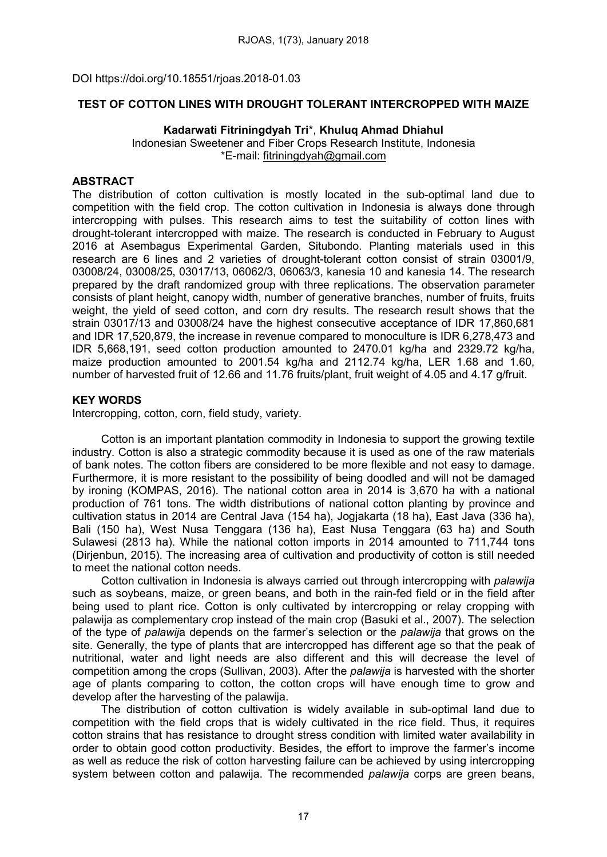DOI https://doi.org/10.18551/rjoas.2018-01.03

### TEST OF COTTON LINES WITH DROUGHT TOLERANT INTERCROPPED WITH MAIZE

### Kadarwati Fitriningdyah Tri\*, Khuluq Ahmad Dhiahul

Indonesian Sweetener and Fiber Crops Research Institute, Indonesia \*E-mail: [fitriningdyah@gmail.com](mailto:fitriningdyah@gmail.com)

## **ABSTRACT**

The distribution of cotton cultivation is mostly located in the sub-optimal land due to competition with the field crop. The cotton cultivation in Indonesia is always done through intercropping with pulses. This research aims to test the suitability of cotton lines with drought-tolerant intercropped with maize. The research is conducted in February to August 2016 at Asembagus Experimental Garden, Situbondo. Planting materials used in this research are 6 lines and 2 varieties of drought-tolerant cotton consist of strain 03001/9, 03008/24, 03008/25, 03017/13, 06062/3, 06063/3, kanesia 10 and kanesia 14. The research prepared by the draft randomized group with three replications. The observation parameter consists of plant height, canopy width, number of generative branches, number of fruits, fruits weight, the yield of seed cotton, and corn dry results. The research result shows that the strain 03017/13 and 03008/24 have the highest consecutive acceptance of IDR 17,860,681 and IDR 17,520,879, the increase in revenue compared to monoculture is IDR 6,278,473 and IDR 5,668,191, seed cotton production amounted to 2470.01 kg/ha and 2329.72 kg/ha, maize production amounted to 2001.54 kg/ha and 2112.74 kg/ha, LER 1.68 and 1.60, number of harvested fruit of 12.66 and 11.76 fruits/plant, fruit weight of 4.05 and 4.17 g/fruit.

# KEY WORDS

Intercropping, cotton, corn, field study, variety.

Cotton is an important plantation commodity in Indonesia to support the growing textile industry. Cotton is also a strategic commodity because it is used as one of the raw materials of bank notes. The cotton fibers are considered to be more flexible and not easy to damage. Furthermore, it is more resistant to the possibility of being doodled and will not be damaged by ironing (KOMPAS, 2016). The national cotton area in 2014 is 3,670 ha with a national production of 761 tons. The width distributions of national cotton planting by province and cultivation status in 2014 are Central Java (154 ha), Jogjakarta (18 ha), East Java (336 ha), Bali (150 ha), West Nusa Tenggara (136 ha), East Nusa Tenggara (63 ha) and South Sulawesi (2813 ha). While the national cotton imports in 2014 amounted to 711,744 tons (Dirjenbun, 2015). The increasing area of cultivation and productivity of cotton is still needed to meet the national cotton needs.

Cotton cultivation in Indonesia is always carried out through intercropping with *palawija* such as soybeans, maize, or green beans, and both in the rain-fed field or in the field after being used to plant rice. Cotton is only cultivated by intercropping or relay cropping with palawija as complementary crop instead of the main crop (Basuki et al., 2007). The selection of the type of *palawij*a depends on the farmer's selection or the *palawija* that grows on the site. Generally, the type of plants that are intercropped has different age so that the peak of nutritional, water and light needs are also different and this will decrease the level of competition among the crops (Sullivan, 2003). After the *palawija* is harvested with the shorter age of plants comparing to cotton, the cotton crops will have enough time to grow and develop after the harvesting of the palawija.

The distribution of cotton cultivation is widely available in sub-optimal land due to competition with the field crops that is widely cultivated in the rice field. Thus, it requires cotton strains that has resistance to drought stress condition with limited water availability in order to obtain good cotton productivity. Besides, the effort to improve the farmer's income as well as reduce the risk of cotton harvesting failure can be achieved by using intercropping system between cotton and palawija. The recommended *palawija* corps are green beans,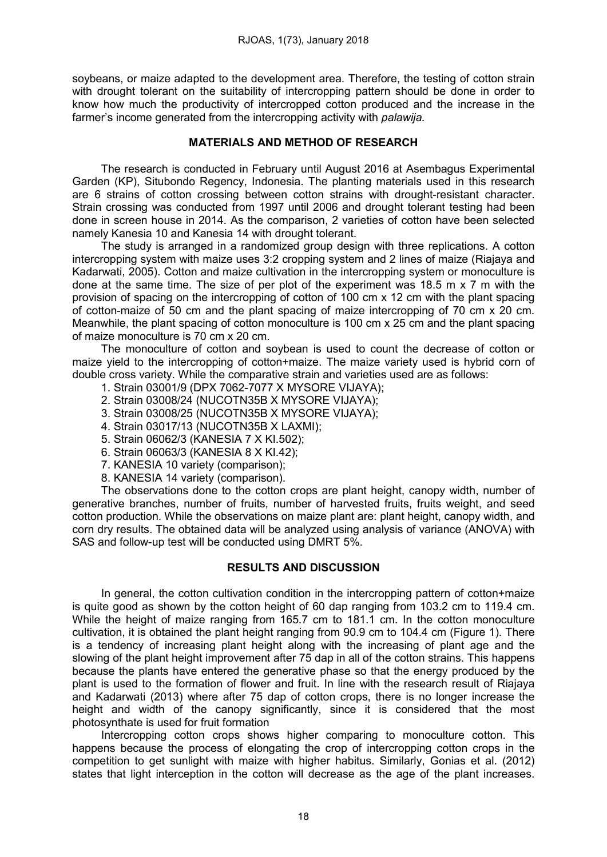soybeans, or maize adapted to the development area. Therefore, the testing of cotton strain with drought tolerant on the suitability of intercropping pattern should be done in order to know how much the productivity of intercropped cotton produced and the increase in the farmer's income generated from the intercropping activity with *palawija.*

# MATERIALS AND METHOD OF RESEARCH

The research is conducted in February until August 2016 at Asembagus Experimental Garden (KP), Situbondo Regency, Indonesia. The planting materials used in this research are 6 strains of cotton crossing between cotton strains with drought-resistant character. Strain crossing was conducted from 1997 until 2006 and drought tolerant testing had been done in screen house in 2014. As the comparison, 2 varieties of cotton have been selected namely Kanesia 10 and Kanesia 14 with drought tolerant.

The study is arranged in a randomized group design with three replications. A cotton intercropping system with maize uses 3:2 cropping system and 2 lines of maize (Riajaya and Kadarwati, 2005). Cotton and maize cultivation in the intercropping system or monoculture is done at the same time. The size of per plot of the experiment was 18.5 m  $\times$  7 m with the provision of spacing on the intercropping of cotton of 100 cm x 12 cm with the plant spacing of cotton-maize of 50 cm and the plant spacing of maize intercropping of 70 cm x 20 cm. Meanwhile, the plant spacing of cotton monoculture is 100 cm x 25 cm and the plant spacing of maize monoculture is 70 cm x 20 cm.

The monoculture of cotton and soybean is used to count the decrease of cotton or maize yield to the intercropping of cotton+maize. The maize variety used is hybrid corn of double cross variety. While the comparative strain and varieties used are as follows:

- 1. Strain 03001/9 (DPX 7062-7077 X MYSORE VIJAYA);
- 2. Strain 03008/24 (NUCOTN35B X MYSORE VIJAYA);
- 3. Strain 03008/25 (NUCOTN35B X MYSORE VIJAYA);
- 4. Strain 03017/13 (NUCOTN35B X LAXMI);
- 5. Strain 06062/3 (KANESIA 7 X KI.502);
- 6. Strain 06063/3 (KANESIA 8 X KI.42);
- 7. KANESIA 10 variety (comparison);
- 8. KANESIA 14 variety (comparison).

The observations done to the cotton crops are plant height, canopy width, number of generative branches, number of fruits, number of harvested fruits, fruits weight, and seed cotton production. While the observations on maize plant are: plant height, canopy width, and corn dry results. The obtained data will be analyzed using analysis of variance (ANOVA) with SAS and follow-up test will be conducted using DMRT 5%.

# RESULTS AND DISCUSSION

In general, the cotton cultivation condition in the intercropping pattern of cotton+maize is quite good as shown by the cotton height of 60 dap ranging from 103.2 cm to 119.4 cm. While the height of maize ranging from 165.7 cm to 181.1 cm. In the cotton monoculture cultivation, it is obtained the plant height ranging from 90.9 cm to 104.4 cm (Figure 1). There is a tendency of increasing plant height along with the increasing of plant age and the slowing of the plant height improvement after 75 dap in all of the cotton strains. This happens because the plants have entered the generative phase so that the energy produced by the plant is used to the formation of flower and fruit. In line with the research result of Riajaya and Kadarwati (2013) where after 75 dap of cotton crops, there is no longer increase the height and width of the canopy significantly, since it is considered that the most photosynthate is used for fruit formation

Intercropping cotton crops shows higher comparing to monoculture cotton. This happens because the process of elongating the crop of intercropping cotton crops in the competition to get sunlight with maize with higher habitus. Similarly, Gonias et al. (2012) states that light interception in the cotton will decrease as the age of the plant increases.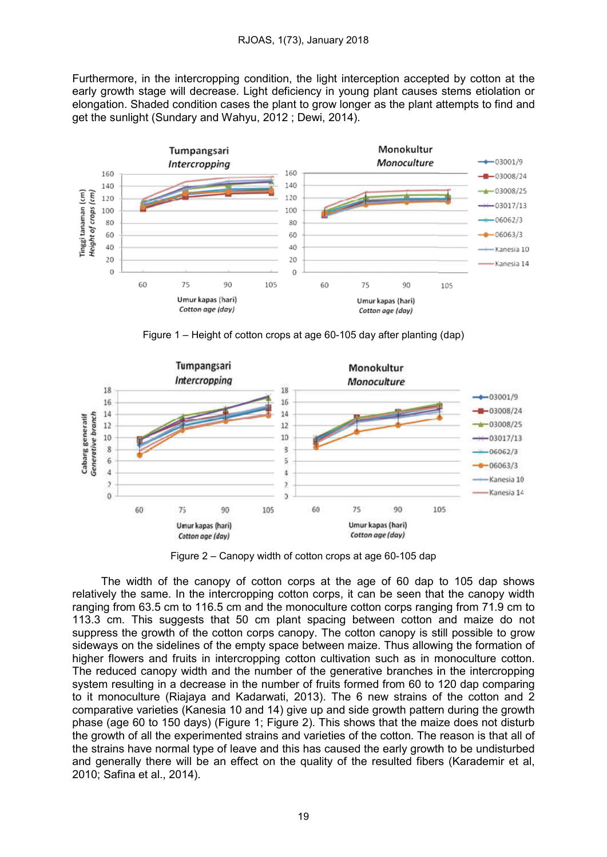Furthermore, in the intercropping condition, the light interception accepted by cotton at the early growth stage will decrease. Light deficiency in young plant causes stems etiolation or elongation. Shaded condition cases the plant to grow longer as the plant attempts to find and get the sunlight (Sundary and Wahyu, 2012 ; Dewi, 2014).



Figure 1 – Height of cotton crops at age 60-105 day after planting (dap)



Figure 2 – Canopy width of cotton crops at age 60-105 dap

The width of the canopy of cotton corps at the age of 60 dap to 105 dap shows relatively the same. In the intercropping cotton corps, it can be seen that the canopy width ranging from 63.5 cm to 116.5 cm and the monoculture cotton corps ranging from 71.9 cm to 113.3 cm. This suggests that 50 cm plant spacing between cotton and maize do not suppress the growth of the cotton corps canopy. The cotton canopy is still possible to grow sideways on the sidelines of the empty space between maize. Thus allowing the formation of higher flowers and fruits in intercropping cotton cultivation such as in monoculture cotton. The reduced canopy width and the number of the generative branches in the intercropping system resulting in a decrease in the number of fruits formed from 60 to 120 dap comparing to it monoculture (Riajaya and Kadarwati, 2013). The 6 new strains of the cotton and 2 comparative varieties (Kanesia 10 and 14) give up and side growth pattern during the growth phase (age 60 to 150 days) (Figure 1; Figure 2). This shows that the maize does not disturb the growth of all the experimented strains and varieties of the cotton. The reason is that all of the strains have normal type of leave and this has caused the early growth to be undisturbed and generally there will be an effect on the quality of the resulted fibers (Karademir et al, 2010; Safina et al., 2014).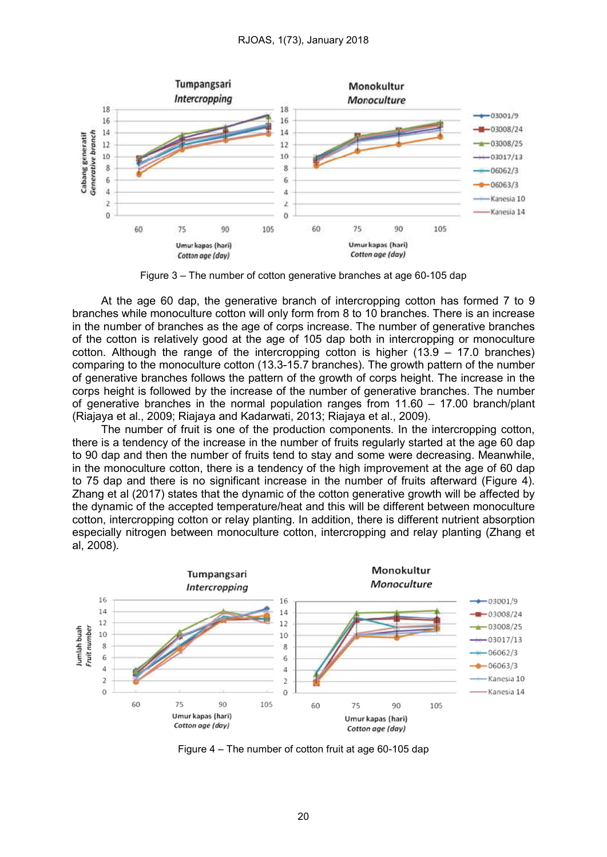

Figure 3 – The number of cotton generative branches at age 60-105 dap

At the age 60 dap, the generative branch of intercropping cotton has formed 7 to 9 branches while monoculture cotton will only form from 8 to 10 branches. There is an increase in the number of branches as the age of corps increase. The number of generative branches of the cotton is relatively good at the age of 105 dap both in intercropping or monoculture cotton. Although the range of the intercropping cotton is higher (13.9 – 17.0 branches) comparing to the monoculture cotton (13.3-15.7 branches). The growth pattern of the number of generative branches follows the pattern of the growth of corps height. The increase in the corps height is followed by the increase of the number of generative branches. The number of generative branches in the normal population ranges from 11.60 - 17.00 branch/plant (Riajaya et al., 2009; Riajaya and Kadarwati, 2013; Riajaya et al., 2009).

The number of fruit is one of the production components. In the intercropping cotton, there is a tendency of the increase in the number of fruits regularly started at the age 60 dap to 90 dap and then the number of fruits tend to stay and some were decreasing. Meanwhile, in the monoculture cotton, there is a tendency of the high improvement at the age of 60 dap to 75 dap and there is no significant increase in the number of fruits afterward (Figure 4). Zhang et al (2017) states that the dynamic of the cotton generative growth will be affected by the dynamic of the accepted temperature/heat and this will be different between monoculture cotton, intercropping cotton or relay planting. In addition, there is different nutrient absorption especially nitrogen between monoculture cotton, intercropping and relay planting (Zhang et al, 2008).



Figure 4 – The number of cotton fruit at age 60-105 dap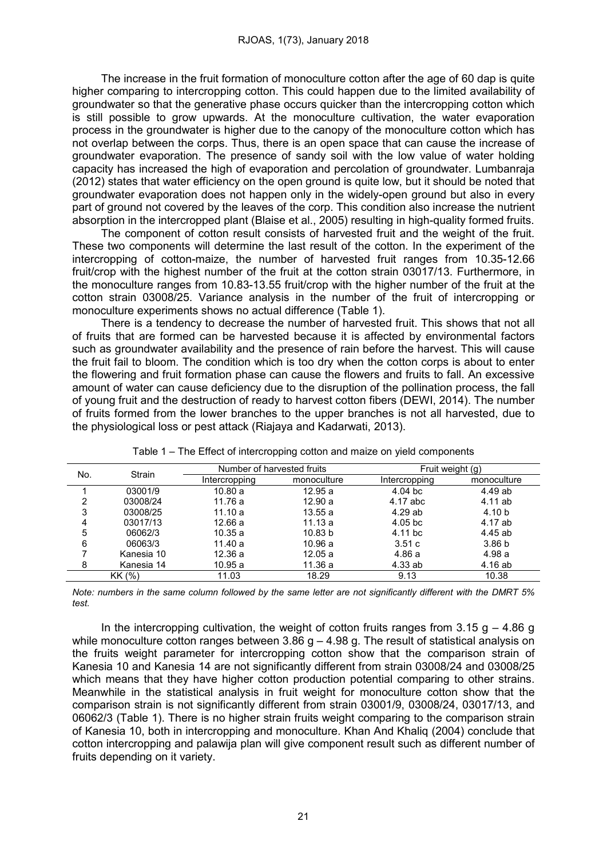The increase in the fruit formation of monoculture cotton after the age of 60 dap is quite higher comparing to intercropping cotton. This could happen due to the limited availability of groundwater so that the generative phase occurs quicker than the intercropping cotton which is still possible to grow upwards. At the monoculture cultivation, the water evaporation process in the groundwater is higher due to the canopy of the monoculture cotton which has not overlap between the corps. Thus, there is an open space that can cause the increase of groundwater evaporation. The presence of sandy soil with the low value of water holding capacity has increased the high of evaporation and percolation of groundwater. Lumbanraja (2012) states that water efficiency on the open ground is quite low, but it should be noted that groundwater evaporation does not happen only in the widely-open ground but also in every part of ground not covered by the leaves of the corp. This condition also increase the nutrient absorption in the intercropped plant (Blaise et al., 2005) resulting in high-quality formed fruits.

The component of cotton result consists of harvested fruit and the weight of the fruit. These two components will determine the last result of the cotton. In the experiment of the intercropping of cotton-maize, the number of harvested fruit ranges from 10.35-12.66 fruit/crop with the highest number of the fruit at the cotton strain 03017/13. Furthermore, in the monoculture ranges from 10.83-13.55 fruit/crop with the higher number of the fruit at the cotton strain 03008/25. Variance analysis in the number of the fruit of intercropping or monoculture experiments shows no actual difference (Table 1).

There is a tendency to decrease the number of harvested fruit. This shows that not all of fruits that are formed can be harvested because it is affected by environmental factors such as groundwater availability and the presence of rain before the harvest. This will cause the fruit fail to bloom. The condition which is too dry when the cotton corps is about to enter the flowering and fruit formation phase can cause the flowers and fruits to fall. An excessive amount of water can cause deficiency due to the disruption of the pollination process, the fall of young fruit and the destruction of ready to harvest cotton fibers (DEWI, 2014). The number of fruits formed from the lower branches to the upper branches is not all harvested, due to the physiological loss or pest attack (Riajaya and Kadarwati, 2013).

| No. | Strain     | Number of harvested fruits |             | Fruit weight (g)    |                   |
|-----|------------|----------------------------|-------------|---------------------|-------------------|
|     |            | Intercropping              | monoculture | Intercropping       | monoculture       |
|     | 03001/9    | 10.80a                     | 12.95a      | $4.04$ bc           | 4.49 ab           |
| 2   | 03008/24   | 11.76 a                    | 12.90a      | 4.17 abc            | $4.11$ ab         |
| 3   | 03008/25   | 11.10a                     | 13.55a      | 4.29ab              | 4.10 <sub>b</sub> |
| 4   | 03017/13   | 12.66a                     | 11.13a      | 4.05 <sub>b</sub> c | 4.17 ab           |
| 5   | 06062/3    | 10.35 a                    | 10.83 b     | 4.11 bc             | 4.45 ab           |
| 6   | 06063/3    | 11.40a                     | 10.96a      | 3.51c               | 3.86 <sub>b</sub> |
|     | Kanesia 10 | 12.36 a                    | 12.05a      | 4.86a               | 4.98 a            |
| 8   | Kanesia 14 | 10.95a                     | 11.36 a     | 4.33ab              | 4.16 ab           |
|     | KK (%)     | 11.03                      | 18.29       | 9.13                | 10.38             |

Table 1 – The Effect of intercropping cotton and maize on yield components

Note: numbers in the same column followed by the same letter are not significantly different with the DMRT 5% *test.*

In the intercropping cultivation, the weight of cotton fruits ranges from  $3.15$  g  $-4.86$  g while monoculture cotton ranges between  $3.86$  g  $-4.98$  g. The result of statistical analysis on the fruits weight parameter for intercropping cotton show that the comparison strain of Kanesia 10 and Kanesia 14 are not significantly different from strain 03008/24 and 03008/25 which means that they have higher cotton production potential comparing to other strains. Meanwhile in the statistical analysis in fruit weight for monoculture cotton show that the comparison strain is not significantly different from strain 03001/9, 03008/24, 03017/13, and 06062/3 (Table 1). There is no higher strain fruits weight comparing to the comparison strain of Kanesia 10, both in intercropping and monoculture. Khan And Khaliq (2004) conclude that cotton intercropping and palawija plan will give component result such as different number of fruits depending on it variety.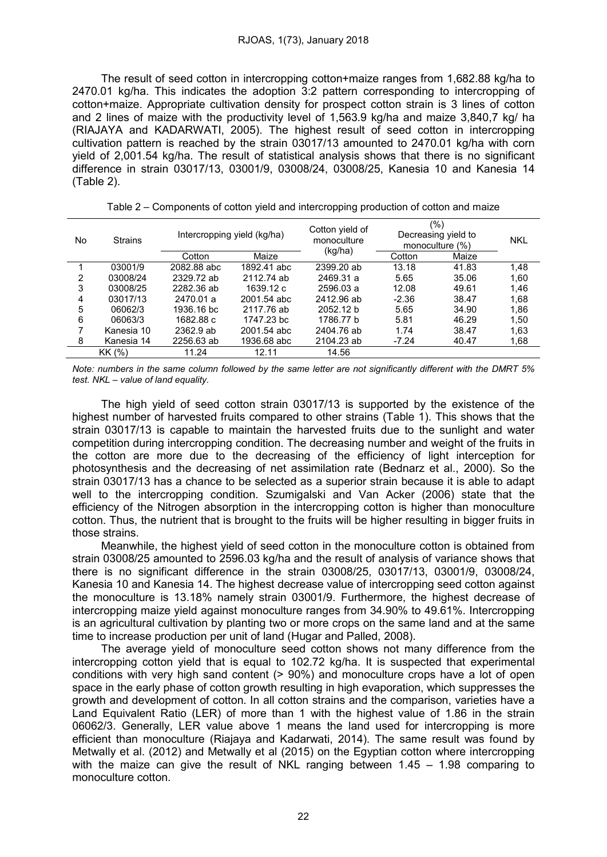The result of seed cotton in intercropping cotton+maize ranges from 1,682.88 kg/ha to 2470.01 kg/ha. This indicates the adoption 3:2 pattern corresponding to intercropping of cotton+maize. Appropriate cultivation density for prospect cotton strain is 3 lines of cotton and 2 lines of maize with the productivity level of 1,563.9 kg/ha and maize 3,840,7 kg/ ha (RIAJAYA and KADARWATI, 2005). The highest result of seed cotton in intercropping cultivation pattern is reached by the strain 03017/13 amounted to 2470.01 kg/ha with corn yield of 2,001.54 kg/ha. The result of statistical analysis shows that there is no significant difference in strain 03017/13, 03001/9, 03008/24, 03008/25, Kanesia 10 and Kanesia 14 (Table 2).

| No | <b>Strains</b> | Intercropping yield (kg/ha) |             | Cotton yield of<br>monoculture | (%)<br>Decreasing yield to<br>monoculture $(\%)$ |       | <b>NKL</b> |
|----|----------------|-----------------------------|-------------|--------------------------------|--------------------------------------------------|-------|------------|
|    |                | Cotton                      | Maize       | (kg/ha)                        | Cotton                                           | Maize |            |
|    | 03001/9        | 2082.88 abc                 | 1892.41 abc | 2399.20 ab                     | 13.18                                            | 41.83 | 1,48       |
| 2  | 03008/24       | 2329.72 ab                  | 2112.74 ab  | 2469.31 a                      | 5.65                                             | 35.06 | 1,60       |
| 3  | 03008/25       | 2282.36 ab                  | 1639.12 c   | 2596.03 a                      | 12.08                                            | 49.61 | 1,46       |
| 4  | 03017/13       | 2470.01 a                   | 2001.54 abc | 2412.96 ab                     | $-2.36$                                          | 38.47 | 1,68       |
| 5  | 06062/3        | 1936.16 bc                  | 2117.76 ab  | 2052.12 b                      | 5.65                                             | 34.90 | 1,86       |
| 6  | 06063/3        | 1682.88 c                   | 1747.23 bc  | 1786.77 b                      | 5.81                                             | 46.29 | 1,50       |
|    | Kanesia 10     | 2362.9 ab                   | 2001.54 abc | 2404.76 ab                     | 1.74                                             | 38.47 | 1,63       |
| 8  | Kanesia 14     | 2256.63 ab                  | 1936.68 abc | 2104.23 ab                     | $-7.24$                                          | 40.47 | 1,68       |
|    | KK (%)         | 11.24                       | 12.11       | 14.56                          |                                                  |       |            |

Table 2 – Components of cotton yield and intercropping production of cotton and maize

Note: numbers in the same column followed by the same letter are not significantly different with the DMRT 5% *test. NKL – value of land equality.*

The high yield of seed cotton strain 03017/13 is supported by the existence of the highest number of harvested fruits compared to other strains (Table 1). This shows that the strain 03017/13 is capable to maintain the harvested fruits due to the sunlight and water competition during intercropping condition. The decreasing number and weight of the fruits in the cotton are more due to the decreasing of the efficiency of light interception for photosynthesis and the decreasing of net assimilation rate (Bednarz et al., 2000). So the strain 03017/13 has a chance to be selected as a superior strain because it is able to adapt well to the intercropping condition. Szumigalski and Van Acker (2006) state that the efficiency of the Nitrogen absorption in the intercropping cotton is higher than monoculture cotton. Thus, the nutrient that is brought to the fruits will be higher resulting in bigger fruits in those strains.

Meanwhile, the highest yield of seed cotton in the monoculture cotton is obtained from strain 03008/25 amounted to 2596.03 kg/ha and the result of analysis of variance shows that there is no significant difference in the strain 03008/25, 03017/13, 03001/9, 03008/24, Kanesia 10 and Kanesia 14. The highest decrease value of intercropping seed cotton against the monoculture is 13.18% namely strain 03001/9. Furthermore, the highest decrease of intercropping maize yield against monoculture ranges from 34.90% to 49.61%. Intercropping is an agricultural cultivation by planting two or more crops on the same land and at the same time to increase production per unit of land (Hugar and Palled, 2008).

The average yield of monoculture seed cotton shows not many difference from the intercropping cotton yield that is equal to 102.72 kg/ha. It is suspected that experimental conditions with very high sand content (> 90%) and monoculture crops have a lot of open space in the early phase of cotton growth resulting in high evaporation, which suppresses the growth and development of cotton. In all cotton strains and the comparison, varieties have a Land Equivalent Ratio (LER) of more than 1 with the highest value of 1.86 in the strain 06062/3. Generally, LER value above 1 means the land used for intercropping is more efficient than monoculture (Riajaya and Kadarwati, 2014). The same result was found by Metwally et al. (2012) and Metwally et al (2015) on the Egyptian cotton where intercropping with the maize can give the result of NKL ranging between  $1.45 - 1.98$  comparing to monoculture cotton.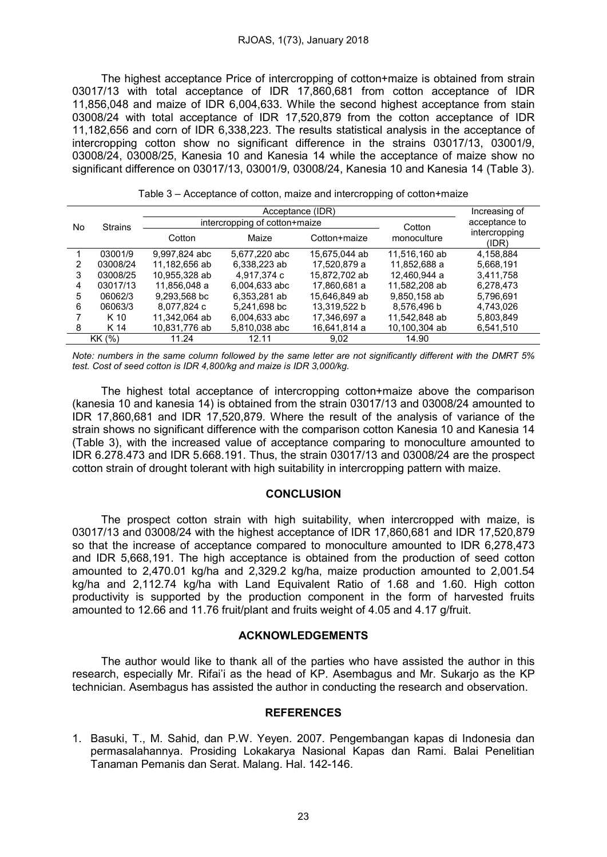The highest acceptance Price of intercropping of cotton+maize is obtained from strain 03017/13 with total acceptance of IDR 17,860,681 from cotton acceptance of IDR 11,856,048 and maize of IDR 6,004,633. While the second highest acceptance from stain 03008/24 with total acceptance of IDR 17,520,879 from the cotton acceptance of IDR 11,182,656 and corn of IDR 6,338,223. The results statistical analysis in the acceptance of intercropping cotton show no significant difference in the strains 03017/13, 03001/9, 03008/24, 03008/25, Kanesia 10 and Kanesia 14 while the acceptance of maize show no significant difference on 03017/13, 03001/9, 03008/24, Kanesia 10 and Kanesia 14 (Table 3).

|    | <b>Strains</b> |                               | Increasing of |               |               |                        |  |
|----|----------------|-------------------------------|---------------|---------------|---------------|------------------------|--|
| No |                | intercropping of cotton+maize |               |               | Cotton        | acceptance to          |  |
|    |                | Cotton                        | Maize         | Cotton+maize  | monoculture   | intercropping<br>(IDR) |  |
|    | 03001/9        | 9.997.824 abc                 | 5.677.220 abc | 15,675,044 ab | 11,516,160 ab | 4.158.884              |  |
| 2  | 03008/24       | 11.182.656 ab                 | 6.338.223 ab  | 17.520.879 a  | 11.852.688 a  | 5,668,191              |  |
| 3  | 03008/25       | 10.955.328 ab                 | 4.917.374 c   | 15.872.702 ab | 12.460.944 a  | 3.411.758              |  |
| 4  | 03017/13       | 11,856,048 a                  | 6,004,633 abc | 17,860,681 a  | 11,582,208 ab | 6,278,473              |  |
| 5  | 06062/3        | 9.293.568 bc                  | 6.353.281 ab  | 15,646,849 ab | 9,850,158 ab  | 5,796,691              |  |
| 6  | 06063/3        | 8.077.824 c                   | 5.241.698 bc  | 13.319.522 b  | 8,576,496 b   | 4,743,026              |  |
|    | K 10           | 11.342.064 ab                 | 6,004,633 abc | 17,346,697 a  | 11,542,848 ab | 5,803,849              |  |
| 8  | K 14           | 10,831,776 ab                 | 5,810,038 abc | 16,641,814 a  | 10,100,304 ab | 6,541,510              |  |
|    | KK (%)         | 11.24                         | 12.11         | 9.02          | 14.90         |                        |  |

Note: numbers in the same column followed by the same letter are not significantly different with the DMRT 5% *test. Cost of seed cotton is IDR 4,800/kg and maize is IDR 3,000/kg.*

The highest total acceptance of intercropping cotton+maize above the comparison (kanesia 10 and kanesia 14) is obtained from the strain 03017/13 and 03008/24 amounted to IDR 17,860,681 and IDR 17,520,879. Where the result of the analysis of variance of the strain shows no significant difference with the comparison cotton Kanesia 10 and Kanesia 14 (Table 3), with the increased value of acceptance comparing to monoculture amounted to IDR 6.278.473 and IDR 5.668.191. Thus, the strain 03017/13 and 03008/24 are the prospect cotton strain of drought tolerant with high suitability in intercropping pattern with maize.

### **CONCLUSION**

The prospect cotton strain with high suitability, when intercropped with maize, is 03017/13 and 03008/24 with the highest acceptance of IDR 17,860,681 and IDR 17,520,879 so that the increase of acceptance compared to monoculture amounted to IDR 6,278,473 and IDR 5,668,191. The high acceptance is obtained from the production of seed cotton amounted to 2,470.01 kg/ha and 2,329.2 kg/ha, maize production amounted to 2,001.54 kg/ha and 2,112.74 kg/ha with Land Equivalent Ratio of 1.68 and 1.60. High cotton productivity is supported by the production component in the form of harvested fruits amounted to 12.66 and 11.76 fruit/plant and fruits weight of 4.05 and 4.17 g/fruit.

#### ACKNOWLEDGEMENTS

The author would like to thank all of the parties who have assisted the author in this research, especially Mr. Rifai'i as the head of KP. Asembagus and Mr. Sukarjo as the KP technician. Asembagus has assisted the author in conducting the research and observation.

#### **REFERENCES**

1. Basuki, T., M. Sahid, dan P.W. Yeyen. 2007. Pengembangan kapas di Indonesia dan permasalahannya. Prosiding Lokakarya Nasional Kapas dan Rami. Balai Penelitian Tanaman Pemanis dan Serat. Malang. Hal. 142-146.